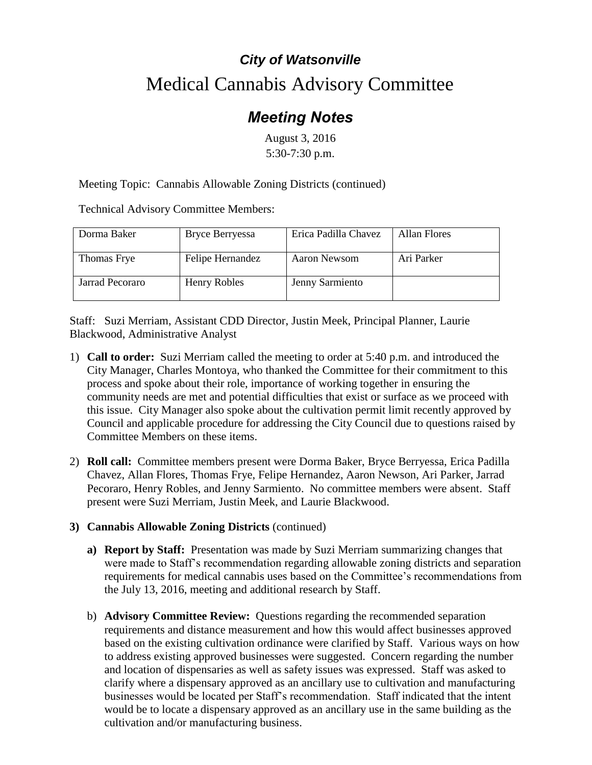## *City of Watsonville* Medical Cannabis Advisory Committee

## *Meeting Notes*

August 3, 2016 5:30-7:30 p.m.

Meeting Topic: Cannabis Allowable Zoning Districts (continued)

Technical Advisory Committee Members:

| Dorma Baker     | Bryce Berryessa  | Erica Padilla Chavez | Allan Flores |
|-----------------|------------------|----------------------|--------------|
| Thomas Frye     | Felipe Hernandez | Aaron Newsom         | Ari Parker   |
| Jarrad Pecoraro | Henry Robles     | Jenny Sarmiento      |              |

Staff: Suzi Merriam, Assistant CDD Director, Justin Meek, Principal Planner, Laurie Blackwood, Administrative Analyst

- 1) **Call to order:** Suzi Merriam called the meeting to order at 5:40 p.m. and introduced the City Manager, Charles Montoya, who thanked the Committee for their commitment to this process and spoke about their role, importance of working together in ensuring the community needs are met and potential difficulties that exist or surface as we proceed with this issue. City Manager also spoke about the cultivation permit limit recently approved by Council and applicable procedure for addressing the City Council due to questions raised by Committee Members on these items.
- 2) **Roll call:** Committee members present were Dorma Baker, Bryce Berryessa, Erica Padilla Chavez, Allan Flores, Thomas Frye, Felipe Hernandez, Aaron Newson, Ari Parker, Jarrad Pecoraro, Henry Robles, and Jenny Sarmiento. No committee members were absent. Staff present were Suzi Merriam, Justin Meek, and Laurie Blackwood.
- **3) Cannabis Allowable Zoning Districts** (continued)
	- **a) Report by Staff:** Presentation was made by Suzi Merriam summarizing changes that were made to Staff's recommendation regarding allowable zoning districts and separation requirements for medical cannabis uses based on the Committee's recommendations from the July 13, 2016, meeting and additional research by Staff.
	- b) **Advisory Committee Review:** Questions regarding the recommended separation requirements and distance measurement and how this would affect businesses approved based on the existing cultivation ordinance were clarified by Staff. Various ways on how to address existing approved businesses were suggested. Concern regarding the number and location of dispensaries as well as safety issues was expressed. Staff was asked to clarify where a dispensary approved as an ancillary use to cultivation and manufacturing businesses would be located per Staff's recommendation. Staff indicated that the intent would be to locate a dispensary approved as an ancillary use in the same building as the cultivation and/or manufacturing business.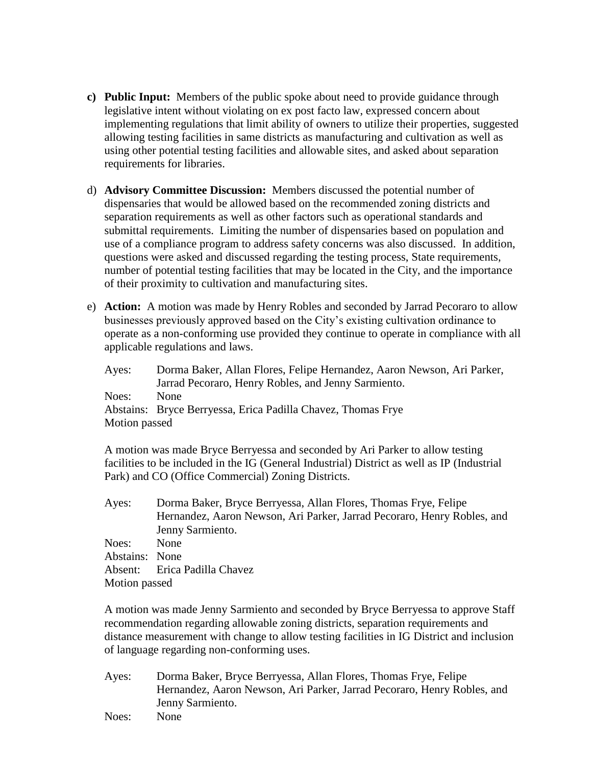- **c) Public Input:** Members of the public spoke about need to provide guidance through legislative intent without violating on ex post facto law, expressed concern about implementing regulations that limit ability of owners to utilize their properties, suggested allowing testing facilities in same districts as manufacturing and cultivation as well as using other potential testing facilities and allowable sites, and asked about separation requirements for libraries.
- d) **Advisory Committee Discussion:** Members discussed the potential number of dispensaries that would be allowed based on the recommended zoning districts and separation requirements as well as other factors such as operational standards and submittal requirements. Limiting the number of dispensaries based on population and use of a compliance program to address safety concerns was also discussed. In addition, questions were asked and discussed regarding the testing process, State requirements, number of potential testing facilities that may be located in the City, and the importance of their proximity to cultivation and manufacturing sites.
- e) **Action:** A motion was made by Henry Robles and seconded by Jarrad Pecoraro to allow businesses previously approved based on the City's existing cultivation ordinance to operate as a non-conforming use provided they continue to operate in compliance with all applicable regulations and laws.

Ayes: Dorma Baker, Allan Flores, Felipe Hernandez, Aaron Newson, Ari Parker, Jarrad Pecoraro, Henry Robles, and Jenny Sarmiento. Noes: None Abstains: Bryce Berryessa, Erica Padilla Chavez, Thomas Frye Motion passed

A motion was made Bryce Berryessa and seconded by Ari Parker to allow testing facilities to be included in the IG (General Industrial) District as well as IP (Industrial Park) and CO (Office Commercial) Zoning Districts.

Ayes: Dorma Baker, Bryce Berryessa, Allan Flores, Thomas Frye, Felipe Hernandez, Aaron Newson, Ari Parker, Jarrad Pecoraro, Henry Robles, and Jenny Sarmiento. Noes: None Abstains: None Absent: Erica Padilla Chavez Motion passed

A motion was made Jenny Sarmiento and seconded by Bryce Berryessa to approve Staff recommendation regarding allowable zoning districts, separation requirements and distance measurement with change to allow testing facilities in IG District and inclusion of language regarding non-conforming uses.

Ayes: Dorma Baker, Bryce Berryessa, Allan Flores, Thomas Frye, Felipe Hernandez, Aaron Newson, Ari Parker, Jarrad Pecoraro, Henry Robles, and Jenny Sarmiento.

Noes: None